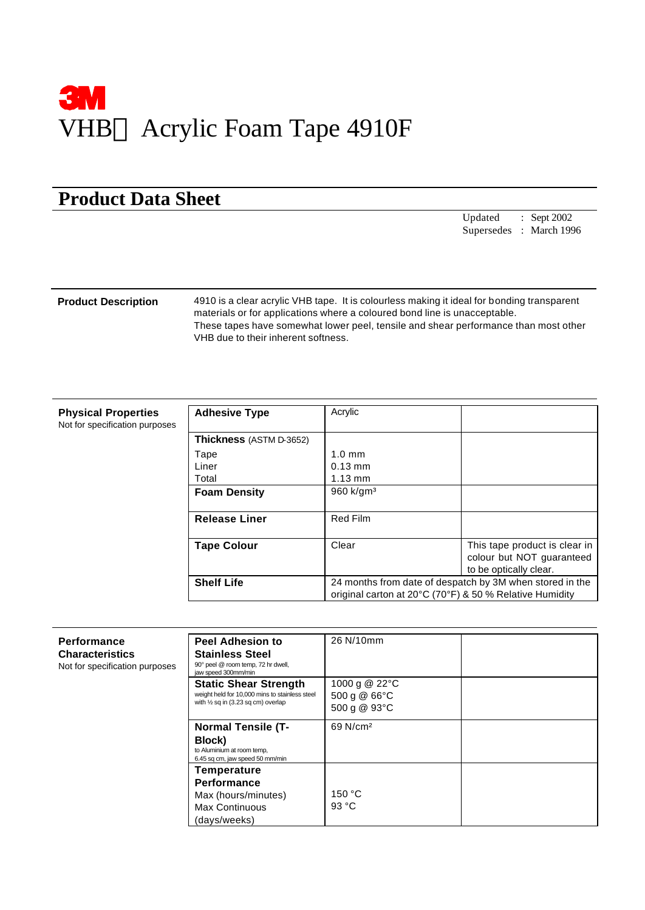

# **Product Data Sheet**

Updated : Sept 2002 Supersedes : March 1996

**Product Description** 4910 is a clear acrylic VHB tape. It is colourless making it ideal for bonding transparent materials or for applications where a coloured bond line is unacceptable. These tapes have somewhat lower peel, tensile and shear performance than most other VHB due to their inherent softness.

| <b>Physical Properties</b>     |
|--------------------------------|
| Not for specification purposes |

| <b>Adhesive Type</b>           | Acrylic                                                  |                               |  |
|--------------------------------|----------------------------------------------------------|-------------------------------|--|
| <b>Thickness</b> (ASTM D-3652) |                                                          |                               |  |
| Tape                           | $1.0 \text{ mm}$                                         |                               |  |
| Liner                          | $0.13$ mm                                                |                               |  |
| Total                          | $1.13 \text{ mm}$                                        |                               |  |
| <b>Foam Density</b>            | $960 \text{ k/qm}^3$                                     |                               |  |
|                                |                                                          |                               |  |
| <b>Release Liner</b>           | <b>Red Film</b>                                          |                               |  |
|                                |                                                          |                               |  |
| <b>Tape Colour</b>             | Clear                                                    | This tape product is clear in |  |
|                                |                                                          | colour but NOT quaranteed     |  |
|                                |                                                          | to be optically clear.        |  |
| <b>Shelf Life</b>              | 24 months from date of despatch by 3M when stored in the |                               |  |
|                                | original carton at 20°C (70°F) & 50 % Relative Humidity  |                               |  |

| <b>Performance</b><br><b>Characteristics</b><br>Not for specification purposes | <b>Peel Adhesion to</b><br><b>Stainless Steel</b><br>90° peel @ room temp, 72 hr dwell,<br>jaw speed 300mm/min                  | 26 N/10mm                                      |  |
|--------------------------------------------------------------------------------|---------------------------------------------------------------------------------------------------------------------------------|------------------------------------------------|--|
|                                                                                | <b>Static Shear Strength</b><br>weight held for 10,000 mins to stainless steel<br>with $\frac{1}{2}$ sq in (3.23 sq cm) overlap | 1000 g @ 22°C<br>500 g $@66°C$<br>500 g @ 93°C |  |
|                                                                                | <b>Normal Tensile (T-</b><br>Block)<br>to Aluminium at room temp,<br>6.45 sq cm, jaw speed 50 mm/min                            | 69 N/cm <sup>2</sup>                           |  |
|                                                                                | Temperature<br>Performance<br>Max (hours/minutes)<br><b>Max Continuous</b><br>(days/weeks)                                      | 150 °C<br>93 °C                                |  |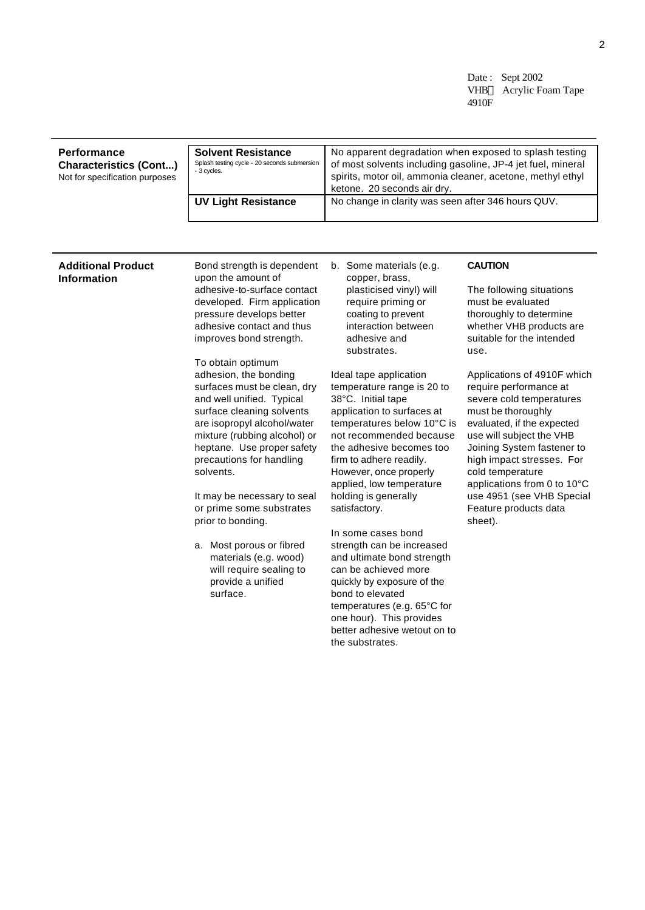Date: Sept 2002 VHB™ Acrylic Foam Tape 4910F

### **Performance Characteristics (Cont...)** Not for specification purposes **Solvent Resistance** Splash testing cycle - 20 seconds submersion - 3 cycles. No apparent degradation when exposed to splash testing of most solvents including gasoline, JP-4 jet fuel, mineral spirits, motor oil, ammonia cleaner, acetone, methyl ethyl ketone. 20 seconds air dry. **UV Light Resistance** | No change in clarity was seen after 346 hours QUV.

### **Additional Product Information**

Bond strength is dependent upon the amount of adhesive-to-surface contact developed. Firm application pressure develops better adhesive contact and thus improves bond strength.

To obtain optimum adhesion, the bonding surfaces must be clean, dry and well unified. Typical surface cleaning solvents are isopropyl alcohol/water mixture (rubbing alcohol) or heptane. Use proper safety precautions for handling solvents.

It may be necessary to seal or prime some substrates prior to bonding.

a. Most porous or fibred materials (e.g. wood) will require sealing to provide a unified surface.

b. Some materials (e.g. copper, brass, plasticised vinyl) will require priming or coating to prevent interaction between adhesive and substrates.

Ideal tape application temperature range is 20 to 38°C. Initial tape application to surfaces at temperatures below 10°C is not recommended because the adhesive becomes too firm to adhere readily. However, once properly applied, low temperature holding is generally satisfactory.

In some cases bond strength can be increased and ultimate bond strength can be achieved more quickly by exposure of the bond to elevated temperatures (e.g. 65°C for one hour). This provides better adhesive wetout on to the substrates.

## **CAUTION**

The following situations must be evaluated thoroughly to determine whether VHB products are suitable for the intended use.

Applications of 4910F which require performance at severe cold temperatures must be thoroughly evaluated, if the expected use will subject the VHB Joining System fastener to high impact stresses. For cold temperature applications from 0 to 10°C use 4951 (see VHB Special Feature products data sheet).